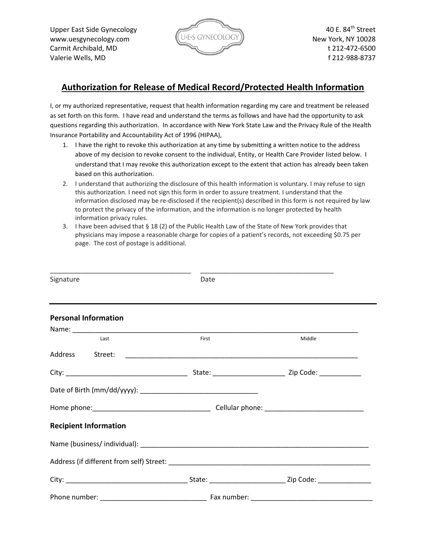www.uesgynecology.com  $(U \cdot E \cdot S \text{ GYNECOLOGY})$  New York, NY 10028 Carmit Archibald, MD t 212-472-6500 Valerie Wells, MD f 212-988-8737



## **Authorization for Release of Medical Record/Protected Health Information**

I, or my authorized representative, request that health information regarding my care and treatment be released as set forth on this form. I have read and understand the terms as follows and have had the opportunity to ask questions regarding this authorization. In accordance with New York State Law and the Privacy Rule of the Health Insurance Portability and Accountability Act of 1996 (HIPAA),

- 1. I have the right to revoke this authorization at any time by submitting a written notice to the address above of my decision to revoke consent to the individual, Entity, or Health Care Provider listed below. I understand that I may revoke this authorization except to the extent that action has already been taken based on this authorization.
- 2. I understand that authorizing the disclosure of this health information is voluntary. I may refuse to sign this authorization. I need not sign this form in order to assure treatment. I understand that the information disclosed may be re-disclosed if the recipient(s) described in this form is not required by law to protect the privacy of the information, and the information is no longer protected by health information privacy rules.
- 3. I have been advised that § 18 (2) of the Public Health Law of the State of New York provides that physicians may impose a reasonable charge for copies of a patient's records, not exceeding \$0.75 per page. The cost of postage is additional.

| Signature                    | Date        |        |
|------------------------------|-------------|--------|
| <b>Personal Information</b>  |             |        |
| Last                         | First       | Middle |
| Address Street:              |             |        |
|                              |             |        |
|                              |             |        |
|                              |             |        |
| <b>Recipient Information</b> |             |        |
|                              |             |        |
|                              |             |        |
|                              |             |        |
| Phone number:                | Fax number: |        |